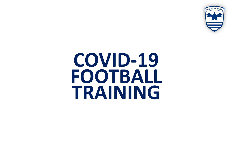

# **COVID-19 FOOTBALL TRAINING**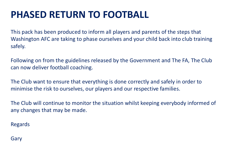## **PHASED RETURN TO FOOTBALL**

This pack has been produced to inform all players and parents of the steps that Washington AFC are taking to phase ourselves and your child back into club training safely.

Following on from the guidelines released by the Government and The FA, The Club can now deliver football coaching.

The Club want to ensure that everything is done correctly and safely in order to minimise the risk to ourselves, our players and our respective families.

The Club will continue to monitor the situation whilst keeping everybody informed of any changes that may be made.

Regards

Gary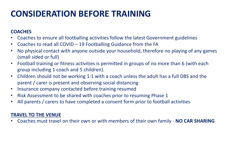### **CONSIDERATION BEFORE TRAINING**

#### **COACHES**

- Coaches to ensure all footballing activities follow the latest Government guidelines
- Coaches to read all COVID 19 Footballing Guidance from the FA
- No physical contact with anyone outside your household, therefore no playing of any games (small sided or full)
- Football training or fitness activities is permitted in groups of no more than 6 (with each group including 1 coach and 5 children).
- Children should not be working 1:1 with a coach unless the adult has a full DBS and the parent / carer is present and observing social distancing
- Insurance company contacted before training resumed
- Risk Assessment to be shared with coaches prior to resuming Phase 1
- All parents / carers to have completed a consent form prior to football activities

#### **TRAVEL TO THE VENUE**

• Coaches must travel on their own or with members of their own family - **NO CAR SHARING**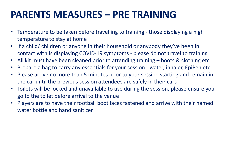### **PARENTS MEASURES – PRE TRAINING**

- Temperature to be taken before travelling to training those displaying a high temperature to stay at home
- If a child/ children or anyone in their household or anybody they've been in contact with is displaying COVID-19 symptoms - please do not travel to training
- All kit must have been cleaned prior to attending training boots & clothing etc
- Prepare a bag to carry any essentials for your session water, inhaler, EpiPen etc
- Please arrive no more than 5 minutes prior to your session starting and remain in the car until the previous session attendees are safely in their cars
- Toilets will be locked and unavailable to use during the session, please ensure you go to the toilet before arrival to the venue
- Players are to have their football boot laces fastened and arrive with their named water bottle and hand sanitizer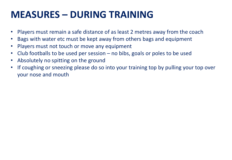## **MEASURES – DURING TRAINING**

- Players must remain a safe distance of as least 2 metres away from the coach
- Bags with water etc must be kept away from others bags and equipment
- Players must not touch or move any equipment
- Club footballs to be used per session no bibs, goals or poles to be used
- Absolutely no spitting on the ground
- If coughing or sneezing please do so into your training top by pulling your top over your nose and mouth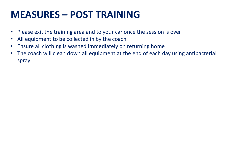### **MEASURES – POST TRAINING**

- Please exit the training area and to your car once the session is over
- All equipment to be collected in by the coach
- Ensure all clothing is washed immediately on returning home
- The coach will clean down all equipment at the end of each day using antibacterial spray